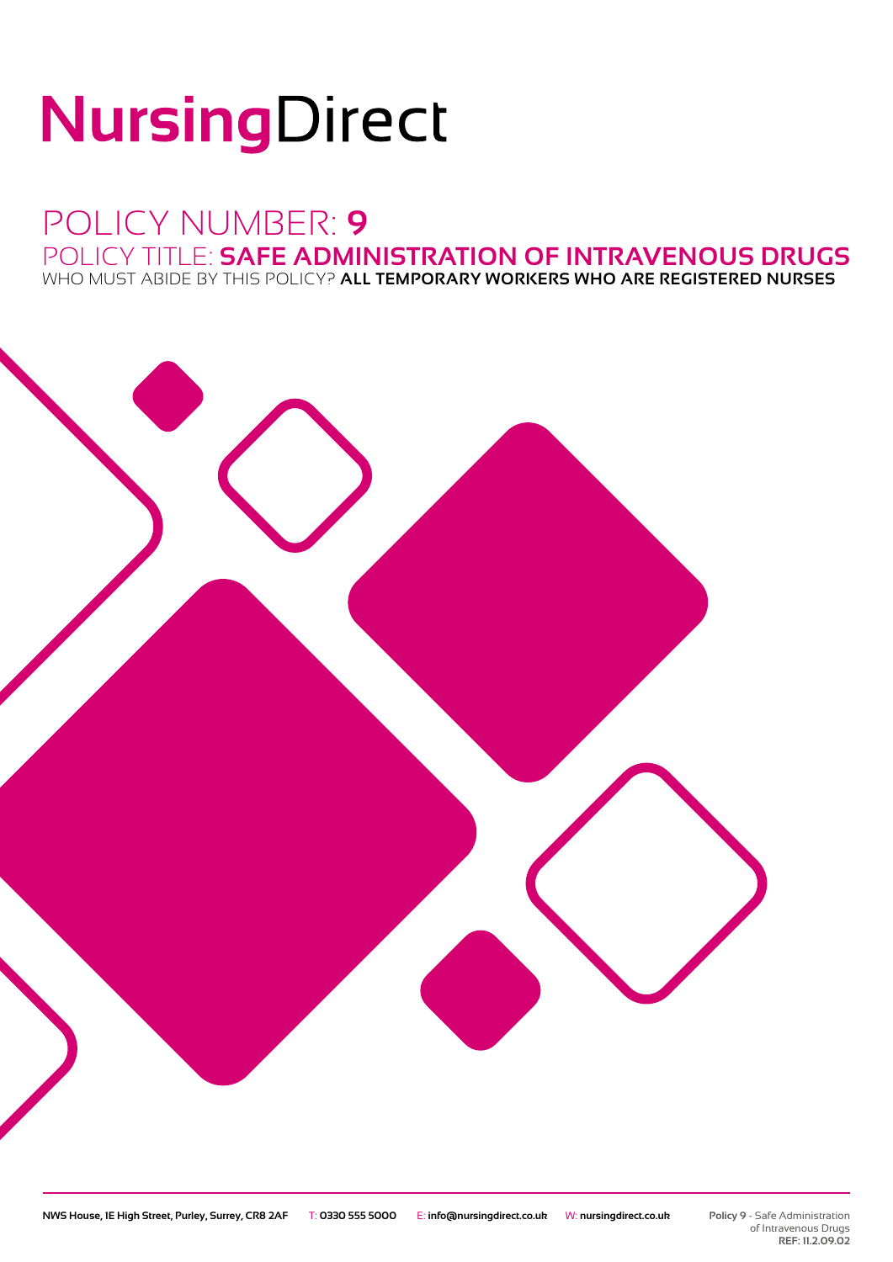# NursingDirect

## POLICY NUMBER: **9** POLICY TITLE: **SAFE ADMINISTRATION OF INTRAVENOUS DRUGS**

WHO MUST ABIDE BY THIS POLICY? **ALL TEMPORARY WORKERS WHO ARE REGISTERED NURSES**